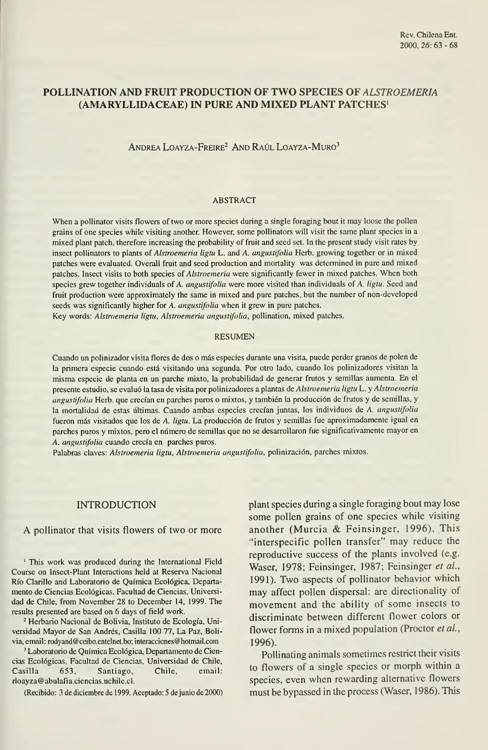# POLLINATION AND FRUIT PRODUCTION OF TWO SPECIES OF ALSTROEMERIA (AMARYLLIDACEAE) IN PURÉ AND MIXED PLANT PATCHES'

Andrea Loayza-Freire^ And Raúl Loayza-Muro^

### ABSTRACT

When a pollinator visits flowers of two or more species during a single foraging bout it may loose the pollen grains of one species while visiting another. However, some pollinators will visit the same plant species in a mixed plant patch, therefore increasing the probability of fruit and seed set. In the present study visit rates by insect pollinators to plants of Alstroemeria ligtu L. and A. angustifolia Herb. growing together or in mixed patches were evaluated. Overall fruit and seed production and mortality was determined in puré and mixed patches. Insect visits to both species of Alstroemeria were significantly fewer in mixed patches. When both species grew together individuals of A. angustifolia were more visited than individuals of A. ligtu. Seed and fruit production were approximately the same in mixed and puré patches, but the number of non-developed seeds was significantly higher for A. angustifolia when it grew in pure patches.

Key words: Alstroemeria ligtu, Alstroemeria angustifolia, pollination, mixed patches.

#### RESUMEN

Cuando un polinizador visita flores de dos o más especies durante una visita, puede perder granos de polen de la primera especie cuando está visitando una segunda. Por otro lado, cuando los polinizadores visitan la misma especie de planta en un parche mixto, la probabilidad de generar frutos <sup>y</sup> semillas aumenta. En el presente estudio, se evaluó la tasa de visita por polinizadores a plantas de Alstroemeria ligtu L. y Alstroemeria angustifolia Herb. que crecían en parches puros o mixtos, y también la producción de frutos y de semillas, y la mortalidad de estas últimas. Cuando ambas especies crecían juntas, los individuos de A. angustifolia fueron más visitados que los de A. ligtu. La producción de frutos y semillas fue aproximadamente igual en parches puros <sup>y</sup> mixtos, pero el número de semillas que no se desarrollaron fue significativamente mayor en A. angustifolia cuando crecía en parches puros.

Palabras claves: Alstroemeria ligtu, Alstroemeria angustifolia, polinización, parches mixtos.

#### INTRODUCTION

### A pollinator that visits flowers of two or more

' This work was produced during the International Field Course on Insect-Plant Interactions held at Reserva Nacional Río Clarillo and Laboratorio de Química Ecológica, Departa mento de Ciencias Ecológicas, Facultad de Ciencias, Universi dad de Chile, from November 28 to December 14, 1999. The results presented are based on 6 days of field work.

<sup>2</sup> Herbario Nacional de Bolivia, Instituto de Ecología, Universidad Mayor de San Andrés, Casilla 100 77, La Paz, Boli via,email: rodyand@ceibo.entelnet.bo; interacciones@hotmail.com

' Laboratorio de Química Ecológica, Departamento de Ciencias Ecológicas, Facultad de Ciencias, Universidad de Chile, Casilla 653, Santiago, Chile, email: rloayza@abulafia.ciencias.uchile.cl.

(Recibido: 3 de diciembre de 1999. Aceptado: 5 de junio de 2000)

plant species during a single foraging bout may lose some pollen grains of one species while visiting another (Murcia & Feinsinger, 1996). This "interspecific pollen transfer" may reduce the reproductive success of the plants involved (e.g. Waser, 1978; Feinsinger, 1987; Feinsinger et al., 1991). Two aspects of pollinator behavior which may affect pollen dispersal: are directionality of movement and the ability of some insects to discrimínate between different flower colors or flower forms in a mixed population (Proctor et al., 1996).

Pollinating animals sometimes restrict their visits to flowers of a single species or morph within a species, even when rewarding alternative flowers must be bypassed in the process (Waser, 1986). This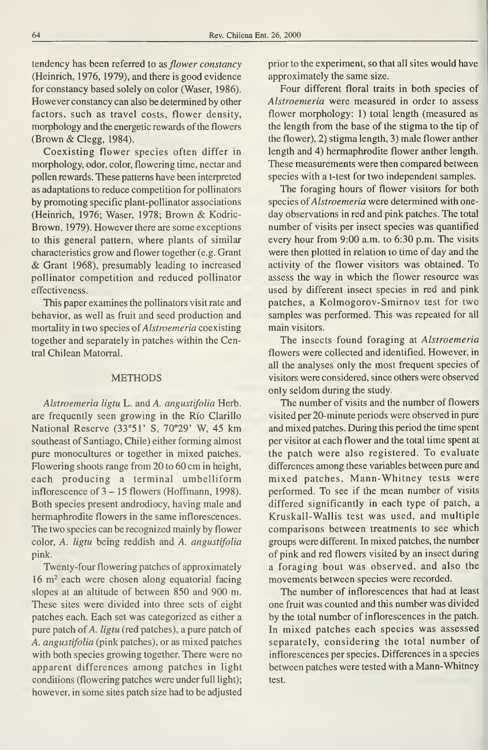tendency has been referred to as flower constancy (Heinrich, 1976, 1979), and there is good evidence for constancy based solely on color (Waser, 1986). However constancy can also be determined by other factors, such as travel costs, flower density, morphology and the energetic rewards of the flowers (Brown & Clegg, 1984).

Coexisting flower species often differ in morphology, odor, color, flowering time, nectar and pollen rewards. These pattems have been interpreted as adaptations to reduce competition for pollinators by promoting specific plant-pollinator associations (Heinrich, 1976; Waser, 1978; Brown & Kodric-Brown, 1979). However there are some exceptions to this general pattern, where plants of similar characteristics grow and flower together (e.g. Grant & Grant 1968), presumably leading to increased pollinator competition and reduced pollinator effectiveness.

This paper examines the pollinators visit rate and behavior, as well as fruit and seed production and mortality in two species of Alstroemeria coexisting together and separately in patches within the Central Chilean Matorral.

### **METHODS**

Alstroemeria ligtu L. and A. angustifolia Herb. are frequently seen growing in the Río Clarillo National Reserve (33°51' S, 70°29' W, 45 km southeast of Santiago, Chile) either forming almost puré monocultures or together in mixed patches. Flowering shoots range from 20 to 60 cm in height, each producing a terminal umbelliform inflorescence of  $3 - 15$  flowers (Hoffmann, 1998). Both species present androdiocy, having male and hermaphrodite flowers in the same inflorescences. The two species can be recognized mainly by flower color, A. ligtu being reddish and A. angustifolia pink.

Twenty-four flowering patches of approximately 16 m<sup>2</sup> each were chosen along equatorial facing slopes at an altitude of between 850 and 900 m. These sites were divided into three sets of eight patches each. Each set was categorized as either a pure patch of A. ligtu (red patches), a pure patch of A. angustifolia (pink patches), or as mixed patches with both species growing together. There were no apparent differences among patches in light conditions (flowering patches were under full light); however, in some sites patch size had to be adjusted

prior to the experiment, so that all sites would have approximately the same size.

Four different floral traits in both species of Alstroemeria were measured in order to assess flower morphology: 1) total length (measured as the length from the base of the stigma to the tip of the flower), 2) stigma length, 3) male flower anther length and 4) hermaphrodite flower anther length. These measurements were then compared between species with a t-test for two independent samples.

The foraging hours of flower visitors for both species of Alstroemeria were determined with oneday observations in red and pink patches. The total number of visits per insect species was quantified every hour from 9:00 a.m. to 6:30 p.m. The visits were then plotted in relation to time of day and the activity of the flower visitors was obtained. To assess the way in which the flower resource was used by different insect species in red and pink patches, a Kolmogorov-Smirnov test for two samples was performed. This was repeated for all main visitors.

The insects found foraging at Alstroemeria flowers were collected and identified. However, in all the analyses only the most frequent species of visitors were considered, since others were observed only seldom during the study.

The number of visits and the number of flowers visited per 20-minute periods were observed in puré and mixed patches. During this period the time spent per visitor at each flower and the total time spent at the patch were also registered. To evaluate differences among these variables between pure and mixed patches, Mann-Whitney tests were performed. To see if the mean number of visits differed significantly in each type of patch, a Kruskall-Wallis test was used, and multiple comparisons between treatments to see which groups were different. In mixed patches, the number of pink and red flowers visited by an insect during a foraging bout was observed, and also the movements between species were recorded.

The number of inflorescences that had at least one fruit was counted and this number was divided by the total number of inflorescences in the patch. In mixed patches each species was assessed separately, considering the total number of inflorescences per species. Differences in a species between patches were tested with a Mann-Whitney test.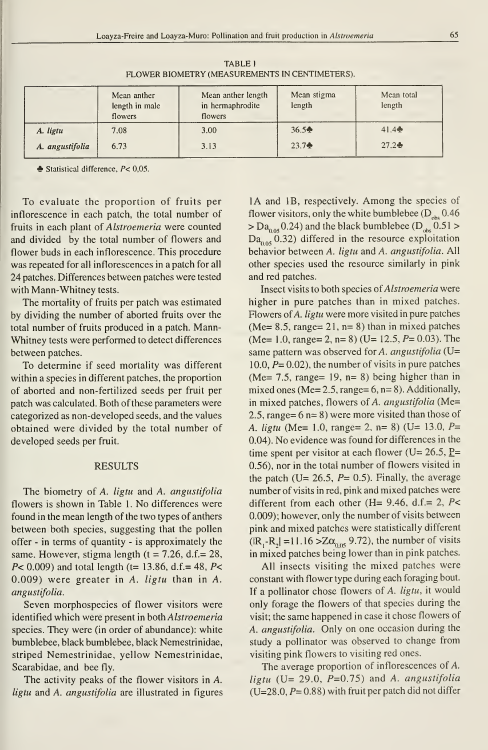|                 | Mean anther<br>length in male<br>flowers | Mean anther length<br>in hermaphrodite<br>flowers | Mean stigma<br>length | Mean total<br>length |
|-----------------|------------------------------------------|---------------------------------------------------|-----------------------|----------------------|
| A. ligtu        | 7.08                                     | 3.00                                              | 36.5 <sup>4</sup>     | 41.4                 |
| A. angustifolia | 6.73                                     | 3.13                                              | $23.7 +$              | $27.2 +$             |

TABLE <sup>1</sup> FLOWER BIOMETRY (MEASUREMENTS IN CENTIMETERS).

 $\triangle$  Statistical difference,  $P < 0.05$ .

To evaluate the proportion of fruits per inflorescence in each patch, the total number of fruits in each plant of Alstroemeria were counted and divided by the total number of flowers and flower buds in each inflorescence. This procedure was repeated for all inflorescences in a patch for all 24 patches. Differences between patches were tested with Mann-Whitney tests.

The mortality of fruits per patch was estimated by dividing the number of aborted fruits over the total number of fruits produced in a patch. Mann-Whitney tests were performed to detect differences between patches.

To determine if seed mortality was different within a species in different patches, the proportion of aborted and non-fertilized seeds per fruit per patch was calculated. Both of these parameters were categorized as non-developed seeds, and the values obtained were divided by the total number of developed seeds per fruit.

#### RESULTS

The biometry of A. ligtu and A. angustifolia flowers is shown in Table 1. No differences were found in the mean length of the two types of anthers between both species, suggesting that the pollen offer - in terms of quantity - is approximately the same. However, stigma length ( $t = 7.26$ , d.f.= 28,  $P$ < 0.009) and total length (t= 13.86, d.f.= 48,  $P$ < 0.009) were greater in A. ligtu than in A. angustifolia.

Seven morphospecies of flower visitors were identified which were present in both Alstroemeria species. They were (in order of abundance): white bumblebee, black bumblebee, black Nemestrinidae, striped Nemestrinidae, yellow Nemestrinidae, Scarabidae, and bee fly.

The activity peaks of the flower visitors in A. ligtu and A. angustifolia are illustrated in figures

lA and IB, respectively. Among the species of flower visitors, only the white bumblebee  $(D_{\alpha k}^{\dagger} 0.46$  $> Da_{0.05}$  0.24) and the black bumblebee (D<sub>obs</sub> 0.51 >  $Da<sub>0.05</sub>$  0.32) differed in the resource exploitation behavior between A. ligtu and A. angustifolia. All other species used the resource similarly in pink and red patches.

Insect visits to both species oí Alstroemeria were higher in puré patches than in mixed patches. Flowers of A. ligtu were more visited in pure patches (Me=  $8.5$ , range=  $21$ , n=  $8$ ) than in mixed patches  $(Me= 1.0, range= 2, n= 8)$   $(U= 12.5, P= 0.03)$ . The same pattern was observed for A. angustifolia ( $U=$ 10.0,  $P = 0.02$ ), the number of visits in pure patches (Me= 7.5, range=  $19$ , n= 8) being higher than in mixed ones (Me=  $2.5$ , range=  $6$ , n= 8). Additionally, in mixed patches, flowers of A. angustifolia (Me= 2.5, range= 6 n= 8) were more visited than those of A. ligtu (Me= 1.0, range= 2, n= 8) (U= 13.0,  $P=$ 0.04). No evidence was found for differences in the time spent per visitor at each flower ( $U= 26.5$ ,  $P=$ 0.56), nor in the total number of flowers visited in the patch (U= 26.5,  $P= 0.5$ ). Finally, the average number of visits in red, pink and mixed patches were different from each other (H=  $9.46$ , d.f.= 2, P< 0.009); however, only the number of visits between pink and mixed patches were statistically different  $(|R_1-R_2| = 11.16 > Z\alpha_{0.05}$  9.72), the number of visits in mixed patches being lower than in pink patches.

All insects visiting the mixed patches were constant with flower type during each foraging bout. If a pollinator chose flowers of  $A$ . *ligtu*, it would only forage the flowers of that species during the visit; the same happened in case it chose flowers of A. angustifolia. Only on one occasion during the study a pollinator was observed to change from visiting pink flowers to visiting red ones.

The average proportion of inflorescences of A. ligtu (U= 29.0,  $P=0.75$ ) and A. angustifolia  $(U=28.0, P= 0.88)$  with fruit per patch did not differ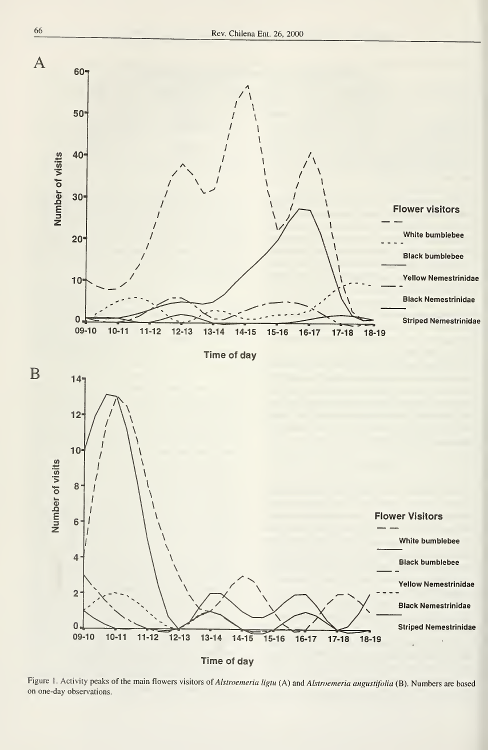

Figure 1. Activity peaks of the main flowers visitors of Alstroemeria ligtu (A) and Alstroemeria angustifolia (B). Numbers are based on one-day observations.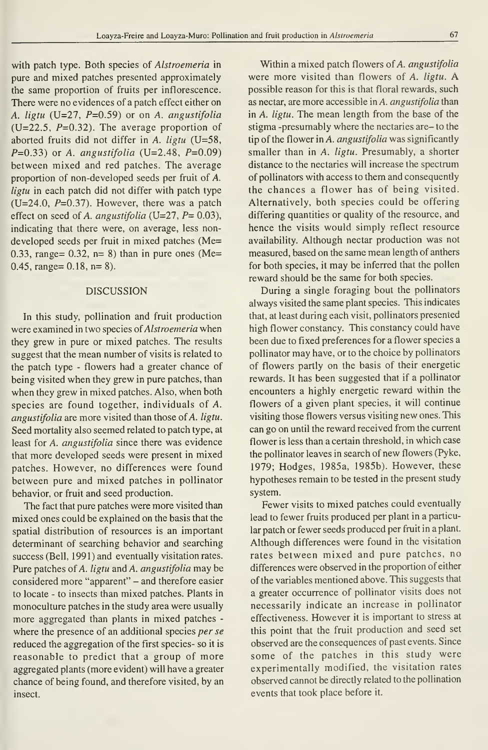with patch type. Both species of Alstroemeria in pure and mixed patches presented approximately the same proportion of fruits per inflorescence. There were no evidences of a patch effect either on A. ligtu  $(U=27, P=0.59)$  or on A. angustifolia (U=22.5,  $P=0.32$ ). The average proportion of aborted fruits did not differ in A. ligtu (U=58,  $P=0.33$ ) or A. angustifolia (U=2.48,  $P=0.09$ ) between mixed and red patches. The average proportion of non-developed seeds per fruit of A. ligtu in each patch did not differ with patch type  $(U=24.0, P=0.37)$ . However, there was a patch effect on seed of A. angustifolia (U=27,  $P= 0.03$ ), indicating that there were, on average, less non developed seeds per fruit in mixed patches (Me= 0.33, range= 0.32, n= 8) than in pure ones (Me= 0.45, range= $0.18$ , n= $8$ ).

## DISCUSSION

In this study, pollination and fruit production were examined in two species of Alstroemeria when they grew in pure or mixed patches. The results suggest that the mean number of visits is related to the patch type - flowers had a greater chance of being visited when they grew in pure patches, than when they grew in mixed patches. Also, when both species are found together, individuals of A. angustifolia are more visited than those of A. ligtu. Seed mortality also seemed related to patch type, at least for A. angustifolia since there was evidence that more developed seeds were present in mixed patches. However, no differences were found between puré and mixed patches in pollinator behavior, or fruit and seed production.

The fact that pure patches were more visited than mixed ones could be explained on the basis that the spatial distribution of resources is an important determinant of searching behavior and searching success (Bell, 1991) and eventually visitation rates. Pure patches of A. ligtu and A. angustifolia may be considered more "apparent" - and therefore easier to locate - to insects than mixed patches. Plants in monoculture patches in the study area were usually more aggregated than plants in mixed patches where the presence of an additional species *per se* reduced the aggregation of the first species- so it is reasonable to predict that a group of more aggregated plants (more evident) will have a greater chance of being found, and therefore visited, by an insect.

Within a mixed patch flowers of A. angustifolia were more visited than flowers of A. ligtu. A possible reason for this is that floral rewards, such as nectar, are more accessible in A. angustifolia than in A. ligtu. The mean length from the base of the stigma -presumably where the nectaries are- to the tip of the flower in A. angustifolia was significantly smaller than in A. ligtu. Presumably, a shorter distance to the nectaries will increase the spectrum of pollinators with access to them and consequently the chances a flower has of being visited. Alternatively, both species could be offering differing quantities or quality of the resource, and hence the visits would simply reflect resource availability. Although nectar production was not measured, based on the same mean length of anthers for both species, it may be inferred that the pollen reward should be the same for both species.

During a single foraging bout the pollinators always visited the same plant species. This indicates that, at least during each visit, pollinators presented high flower constancy. This constancy could have been due to fixed preferences for a flower species a pollinator may have, or to the choice by pollinators of flowers partly on the basis of their energetic rewards. It has been suggested that if a pollinator encounters a highly energetic reward within the flowers of a given plant species, it will continué visiting those flowers versus visiting new ones. This can go on until the reward received from the current flower is less than a certain threshold, in which case the pollinator leaves in search of new flowers (Pyke, 1979; Hodges, 1985a, 1985b). However, these hypotheses remain to be tested in the present study system.

Fewer visits to mixed patches could eventually lead to fewer fruits produced per plant in a particular patch or fewer seeds produced per fruit in a plant. Although differences were found in the visitation rates between mixed and pure patches, no differences were observed in the proportion of either of the variables mentioned above. This suggests that a greater occurrence of pollinator visits does not necessarily indícate an increase in pollinator effectiveness. However it is important to stress at this point that the fruit production and seed set observed are the consequences of past events. Since some of the patches in this study were experimentally modified, the visitation rates observed cannot be directly related to the pollination events that took place before it.